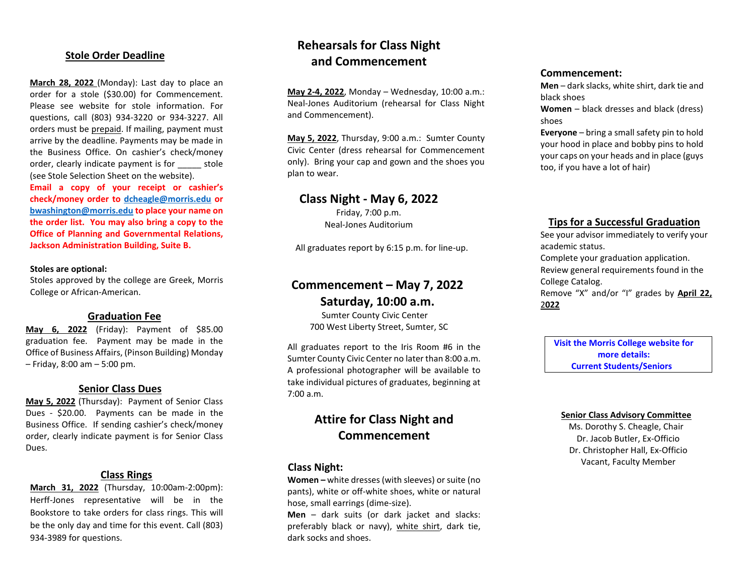## **Stole Order Deadline**

**March 28, 2022** (Monday): Last day to place an order for a stole (\$30.00) for Commencement. Please see website for stole information. For questions, call (803) 934-3220 or 934-3227. All orders must be prepaid. If mailing, payment must arrive by the deadline. Payments may be made in the Business Office. On cashier's check/money order, clearly indicate payment is for stole (see Stole Selection Sheet on the website).

**Email a copy of your receipt or cashier's check/money order to [dcheagle@morris.edu](mailto:dcheagle@morris.edu) or [bwashington@morris.edu](mailto:bwashington@morris.edu) to place your name on the order list. You may also bring a copy to the Office of Planning and Governmental Relations, Jackson Administration Building, Suite B.**

#### **Stoles are optional:**

Stoles approved by the college are Greek, Morris College or African-American.

### **Graduation Fee**

**May 6, 2022** (Friday): Payment of \$85.00 graduation fee. Payment may be made in the Office of Business Affairs, (Pinson Building) Monday – Friday, 8:00 am – 5:00 pm.

## **Senior Class Dues**

**May 5, 2022** (Thursday): Payment of Senior Class Dues - \$20.00. Payments can be made in the Business Office. If sending cashier's check/money order, clearly indicate payment is for Senior Class Dues.

## **Class Rings**

**March 31, 2022** (Thursday, 10:00am-2:00pm): Herff-Jones representative will be in the Bookstore to take orders for class rings. This will be the only day and time for this event. Call (803) 934-3989 for questions.

## **Rehearsals for Class Night and Commencement**

**May 2-4, 2022**, Monday – Wednesday, 10:00 a.m.: Neal-Jones Auditorium (rehearsal for Class Night and Commencement).

**May 5, 2022**, Thursday, 9:00 a.m.: Sumter County Civic Center (dress rehearsal for Commencement only). Bring your cap and gown and the shoes you plan to wear.

## **Class Night - May 6, 2022**

Friday, 7:00 p.m. Neal-Jones Auditorium

All graduates report by 6:15 p.m. for line-up.

## **Commencement – May 7, 2022 Saturday, 10:00 a.m.**

Sumter County Civic Center 700 West Liberty Street, Sumter, SC

All graduates report to the Iris Room #6 in the Sumter County Civic Center no later than 8:00 a.m. A professional photographer will be available to take individual pictures of graduates, beginning at 7:00 a.m.

## **Attire for Class Night and Commencement**

## **Class Night:**

**Women –** white dresses (with sleeves) or suite (no pants), white or off-white shoes, white or natural hose, small earrings (dime-size).

**Men** – dark suits (or dark jacket and slacks: preferably black or navy), white shirt, dark tie, dark socks and shoes.

### **Commencement:**

**Men** – dark slacks, white shirt, dark tie and black shoes

**Women** – black dresses and black (dress) shoes

**Everyone** – bring a small safety pin to hold your hood in place and bobby pins to hold your caps on your heads and in place (guys too, if you have a lot of hair)

## **Tips for a Successful Graduation**

See your advisor immediately to verify your academic status.

Complete your graduation application. Review general requirements found in the College Catalog.

Remove "X" and/or "I" grades by **April 22,** 2**022**

**Visit the Morris College website for more details: Current Students/Seniors**

### **Senior Class Advisory Committee**

Ms. Dorothy S. Cheagle, Chair Dr. Jacob Butler, Ex-Officio Dr. Christopher Hall, Ex-Officio Vacant, Faculty Member